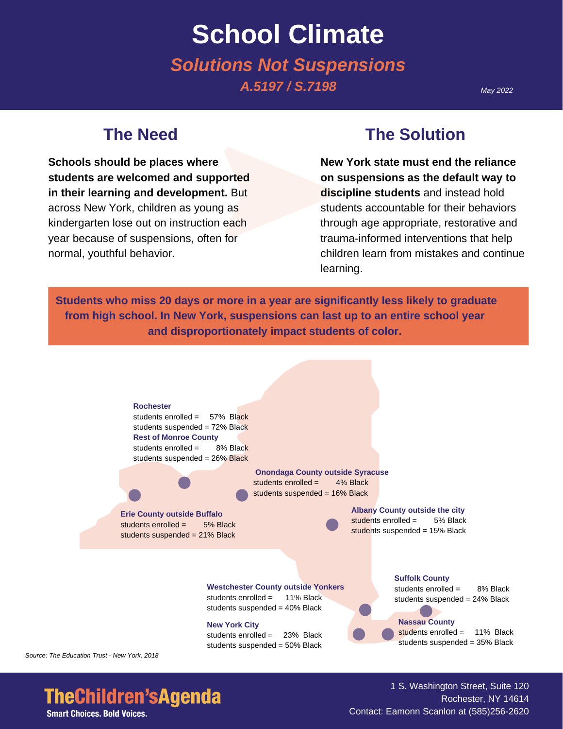# **School Climate** *Solutions Not Suspensions A.5197 / S.7198*

#### *May 2022*

### **The Need**

**Schools should be places where students are welcomed and supported in their learning and development.** But across New York, children as young as kindergarten lose out on instruction each year because of suspensions, often for normal, youthful behavior.

### **The Solution**

**New York state must end the reliance on suspensions as the default way to discipline students** and instead hold students accountable for their behaviors through age appropriate, restorative and trauma-informed interventions that help children learn from mistakes and continue learning.

**Students who miss 20 days or more in a year are significantly less likely to graduate from high school. In New York, suspensions can last up to an entire school year and disproportionately impact students of color.**



*Source: The Education Trust - New York, 2018*

# **TheChildren'sAgenda**

**Smart Choices. Bold Voices.** 

1 S. Washington Street, Suite 120 Rochester, NY 14614 Contact: Eamonn Scanlon at (585)256-2620